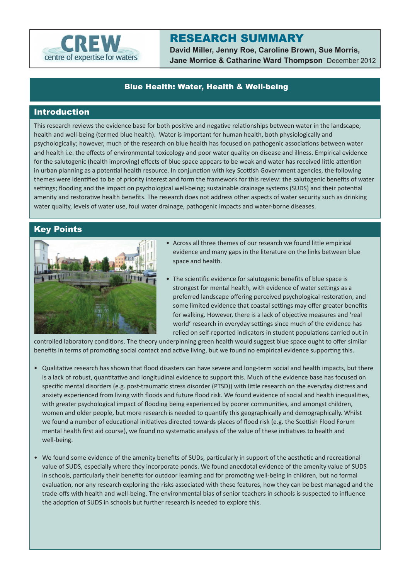

# RESEARCH SUMMARY

**David Miller, Jenny Roe, Caroline Brown, Sue Morris, Jane Morrice & Catharine Ward Thompson** December 2012

### Blue Health: Water, Health & Well-being

## Introduction

This research reviews the evidence base for both positive and negative relationships between water in the landscape, health and well-being (termed blue health). Water is important for human health, both physiologically and psychologically; however, much of the research on blue health has focused on pathogenic associations between water and health i.e. the effects of environmental toxicology and poor water quality on disease and illness. Empirical evidence for the salutogenic (health improving) effects of blue space appears to be weak and water has received little attention in urban planning as a potential health resource. In conjunction with key Scottish Government agencies, the following themes were identified to be of priority interest and form the framework for this review: the salutogenic benefits of water settings; flooding and the impact on psychological well-being; sustainable drainage systems (SUDS) and their potential amenity and restorative health benefits. The research does not address other aspects of water security such as drinking water quality, levels of water use, foul water drainage, pathogenic impacts and water-borne diseases.

#### Key Points



- Across all three themes of our research we found little empirical evidence and many gaps in the literature on the links between blue space and health.
- The scientific evidence for salutogenic benefits of blue space is strongest for mental health, with evidence of water settings as a preferred landscape offering perceived psychological restoration, and some limited evidence that coastal settings may offer greater benefits for walking. However, there is a lack of objective measures and 'real world' research in everyday settings since much of the evidence has relied on self-reported indicators in student populations carried out in

controlled laboratory conditions. The theory underpinning green health would suggest blue space ought to offer similar benefits in terms of promoting social contact and active living, but we found no empirical evidence supporting this.

- Qualitative research has shown that flood disasters can have severe and long-term social and health impacts, but there is a lack of robust, quantitative and longitudinal evidence to support this. Much of the evidence base has focused on specific mental disorders (e.g. post-traumatic stress disorder (PTSD)) with little research on the everyday distress and anxiety experienced from living with floods and future flood risk. We found evidence of social and health inequalities, with greater psychological impact of flooding being experienced by poorer communities, and amongst children, women and older people, but more research is needed to quantify this geographically and demographically. Whilst we found a number of educational initiatives directed towards places of flood risk (e.g. the Scottish Flood Forum mental health first aid course), we found no systematic analysis of the value of these initiatives to health and well-being.
- We found some evidence of the amenity benefits of SUDs, particularly in support of the aesthetic and recreational value of SUDS, especially where they incorporate ponds. We found anecdotal evidence of the amenity value of SUDS in schools, particularly their benefits for outdoor learning and for promoting well-being in children, but no formal evaluation, nor any research exploring the risks associated with these features, how they can be best managed and the trade-offs with health and well-being. The environmental bias of senior teachers in schools is suspected to influence the adoption of SUDS in schools but further research is needed to explore this.